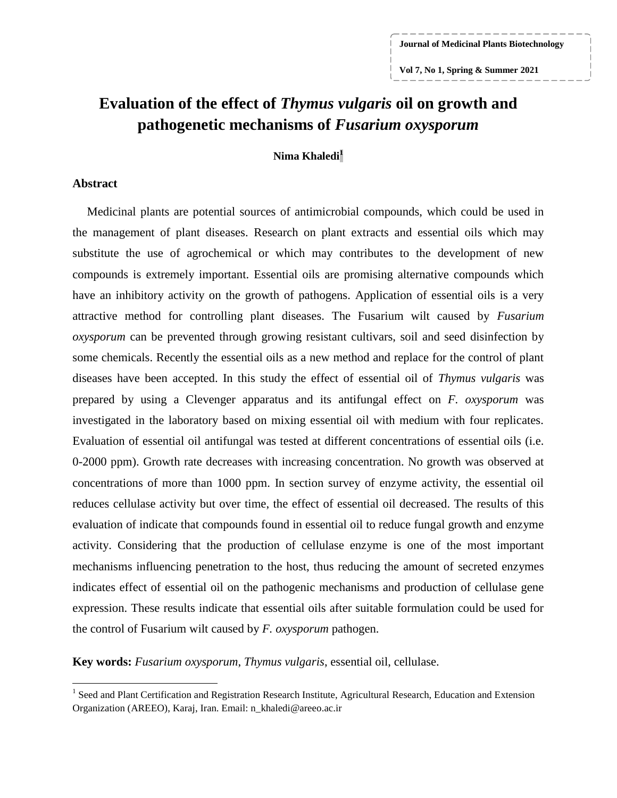**Vol 7, No 1, Spring & Summer 2021**

# **Evaluation of the effect of** *Thymus vulgaris* **oil on growth and pathogenetic mechanisms of** *Fusarium oxysporum*

### **Nima Khaledi<sup>1</sup>**

#### **Abstract**

 $\overline{a}$ 

Medicinal plants are potential sources of antimicrobial compounds, which could be used in the management of plant diseases. Research on plant extracts and essential oils which may substitute the use of agrochemical or which may contributes to the development of new compounds is extremely important. Essential oils are promising alternative compounds which have an inhibitory activity on the growth of pathogens. Application of essential oils is a very attractive method for controlling plant diseases. The Fusarium wilt caused by *Fusarium oxysporum* can be prevented through growing resistant cultivars, soil and seed disinfection by some chemicals. Recently the essential oils as a new method and replace for the control of plant diseases have been accepted. In this study the effect of essential oil of *Thymus vulgaris* was prepared by using a Clevenger apparatus and its antifungal effect on *F. oxysporum* was investigated in the laboratory based on mixing essential oil with medium with four replicates. Evaluation of essential oil antifungal was tested at different concentrations of essential oils (i.e. 0-2000 ppm). Growth rate decreases with increasing concentration. No growth was observed at concentrations of more than 1000 ppm. In section survey of enzyme activity, the essential oil reduces cellulase activity but over time, the effect of essential oil decreased. The results of this evaluation of indicate that compounds found in essential oil to reduce fungal growth and enzyme activity. Considering that the production of cellulase enzyme is one of the most important mechanisms influencing penetration to the host, thus reducing the amount of secreted enzymes indicates effect of essential oil on the pathogenic mechanisms and production of cellulase gene expression. These results indicate that essential oils after suitable formulation could be used for the control of Fusarium wilt caused by *F. oxysporum* pathogen.

**Key words:** *Fusarium oxysporum*, *Thymus vulgaris*, essential oil, cellulase.

<sup>&</sup>lt;sup>1</sup> Seed and Plant Certification and Registration Research Institute, Agricultural Research, Education and Extension Organization (AREEO), Karaj, Iran. Email: n\_khaledi@areeo.ac.ir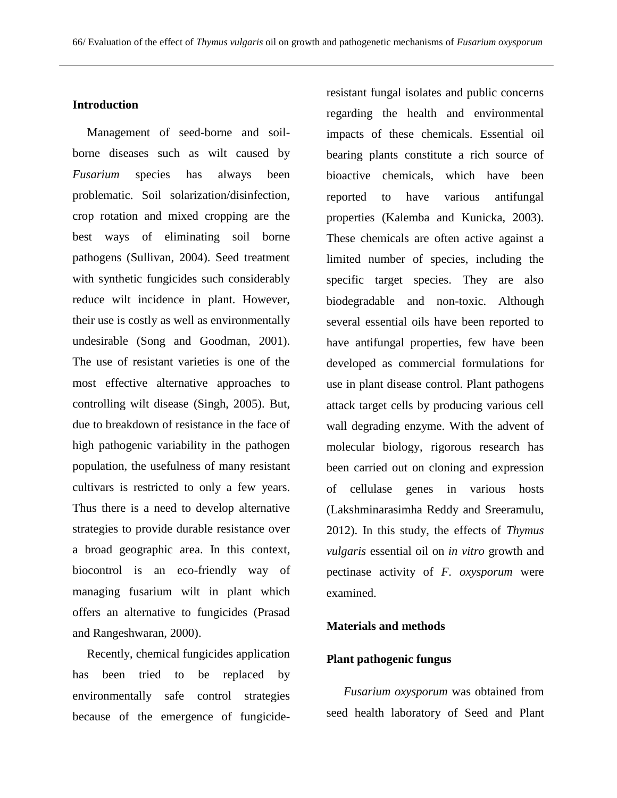#### **Introduction**

Management of seed-borne and soilborne diseases such as wilt caused by *Fusarium* species has always been problematic. Soil solarization/disinfection, crop rotation and mixed cropping are the best ways of eliminating soil borne pathogens (Sullivan, 2004). Seed treatment with synthetic fungicides such considerably reduce wilt incidence in plant. However, their use is costly as well as environmentally undesirable (Song and Goodman, 2001). The use of resistant varieties is one of the most effective alternative approaches to controlling wilt disease (Singh, 2005). But, due to breakdown of resistance in the face of high pathogenic variability in the pathogen population, the usefulness of many resistant cultivars is restricted to only a few years. Thus there is a need to develop alternative strategies to provide durable resistance over a broad geographic area. In this context, biocontrol is an eco-friendly way of managing fusarium wilt in plant which offers an alternative to fungicides (Prasad and Rangeshwaran, 2000).

Recently, chemical fungicides application has been tried to be replaced by environmentally safe control strategies because of the emergence of fungicideresistant fungal isolates and public concerns regarding the health and environmental impacts of these chemicals. Essential oil bearing plants constitute a rich source of bioactive chemicals, which have been reported to have various antifungal properties (Kalemba and Kunicka, 2003). These chemicals are often active against a limited number of species, including the specific target species. They are also biodegradable and non-toxic. Although several essential oils have been reported to have antifungal properties, few have been developed as commercial formulations for use in plant disease control. Plant pathogens attack target cells by producing various cell wall degrading enzyme. With the advent of molecular biology, rigorous research has been carried out on cloning and expression of cellulase genes in various hosts (Lakshminarasimha Reddy and Sreeramulu, 2012). In this study, the effects of *Thymus vulgaris* essential oil on *in vitro* growth and pectinase activity of *F. oxysporum* were examined.

### **Materials and methods**

### **Plant pathogenic fungus**

*Fusarium oxysporum* was obtained from seed health laboratory of Seed and Plant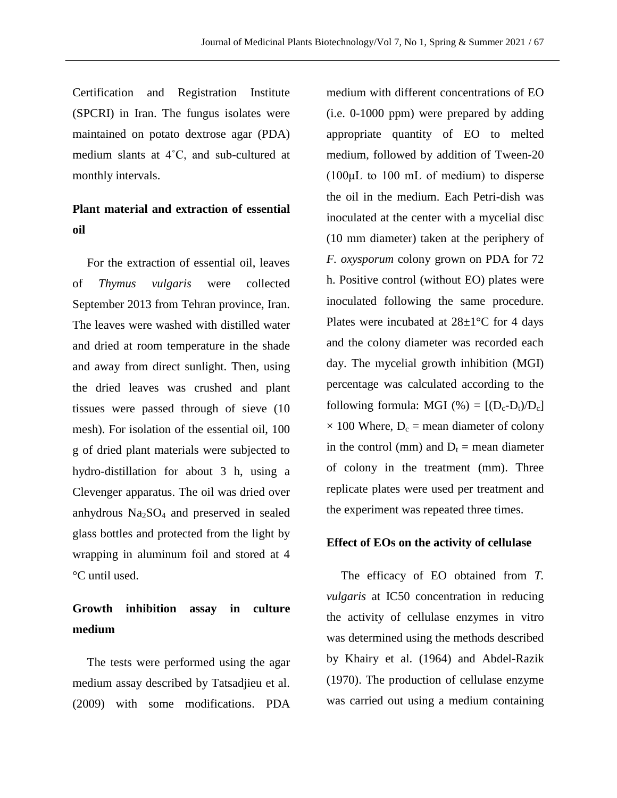Certification and Registration Institute (SPCRI) in Iran. The fungus isolates were maintained on potato dextrose agar (PDA) medium slants at 4˚C, and sub-cultured at monthly intervals.

### **Plant material and extraction of essential oil**

For the extraction of essential oil, leaves of *Thymus vulgaris* were collected September 2013 from Tehran province, Iran. The leaves were washed with distilled water and dried at room temperature in the shade and away from direct sunlight. Then, using the dried leaves was crushed and plant tissues were passed through of sieve (10 mesh). For isolation of the essential oil, 100 g of dried plant materials were subjected to hydro-distillation for about 3 h, using a Clevenger apparatus. The oil was dried over anhydrous  $Na<sub>2</sub>SO<sub>4</sub>$  and preserved in sealed glass bottles and protected from the light by wrapping in aluminum foil and stored at 4 °C until used.

### **Growth inhibition assay in culture medium**

The tests were performed using the agar medium assay described by Tatsadjieu et al. (2009) with some modifications. PDA medium with different concentrations of EO (i.e. 0-1000 ppm) were prepared by adding appropriate quantity of EO to melted medium, followed by addition of Tween-20 (100μL to 100 mL of medium) to disperse the oil in the medium. Each Petri-dish was inoculated at the center with a mycelial disc (10 mm diameter) taken at the periphery of *F. oxysporum* colony grown on PDA for 72 h. Positive control (without EO) plates were inoculated following the same procedure. Plates were incubated at  $28\pm1\degree$ C for 4 days and the colony diameter was recorded each day. The mycelial growth inhibition (MGI) percentage was calculated according to the following formula: MGI (%) =  $[(D_c-D_t)/D_c]$  $\times$  100 Where, D<sub>c</sub> = mean diameter of colony in the control (mm) and  $D_t$  = mean diameter of colony in the treatment (mm). Three replicate plates were used per treatment and the experiment was repeated three times.

### **Effect of EOs on the activity of cellulase**

The efficacy of EO obtained from *T. vulgaris* at IC50 concentration in reducing the activity of cellulase enzymes in vitro was determined using the methods described by Khairy et al. (1964) and Abdel-Razik (1970). The production of cellulase enzyme was carried out using a medium containing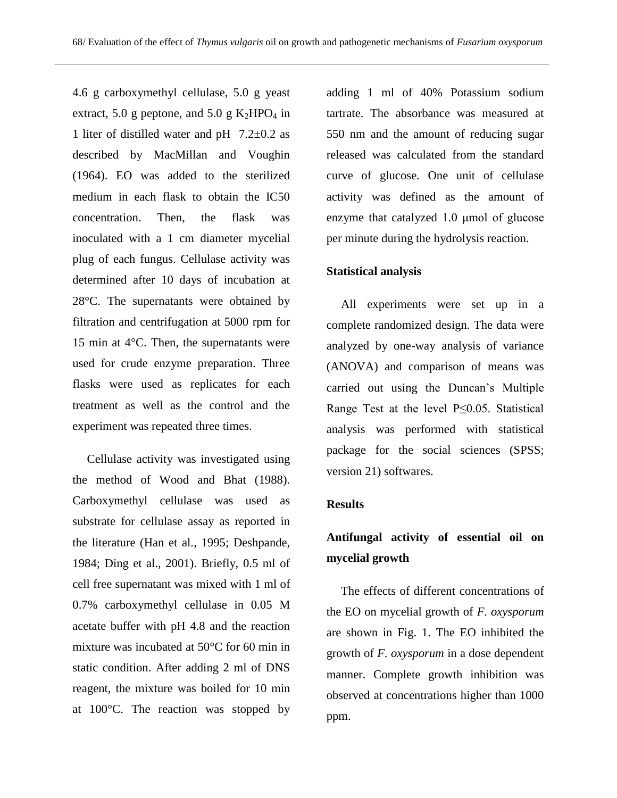4.6 g carboxymethyl cellulase, 5.0 g yeast extract, 5.0 g peptone, and 5.0 g  $K_2HPO_4$  in 1 liter of distilled water and pH 7.2±0.2 as described by MacMillan and Voughin (1964). EO was added to the sterilized medium in each flask to obtain the IC50 concentration. Then, the flask was inoculated with a 1 cm diameter mycelial plug of each fungus. Cellulase activity was determined after 10 days of incubation at 28°C. The supernatants were obtained by filtration and centrifugation at 5000 rpm for 15 min at 4°C. Then, the supernatants were used for crude enzyme preparation. Three flasks were used as replicates for each treatment as well as the control and the experiment was repeated three times.

Cellulase activity was investigated using the method of Wood and Bhat (1988). Carboxymethyl cellulase was used as substrate for cellulase assay as reported in the literature (Han et al., 1995; Deshpande, 1984; Ding et al., 2001). Briefly, 0.5 ml of cell free supernatant was mixed with 1 ml of 0.7% carboxymethyl cellulase in 0.05 M acetate buffer with pH 4.8 and the reaction mixture was incubated at 50°C for 60 min in static condition. After adding 2 ml of DNS reagent, the mixture was boiled for 10 min at 100°C. The reaction was stopped by

adding 1 ml of 40% Potassium sodium tartrate. The absorbance was measured at 550 nm and the amount of reducing sugar released was calculated from the standard curve of glucose. One unit of cellulase activity was defined as the amount of enzyme that catalyzed 1.0 μmol of glucose per minute during the hydrolysis reaction.

### **Statistical analysis**

All experiments were set up in a complete randomized design. The data were analyzed by one-way analysis of variance (ANOVA) and comparison of means was carried out using the Duncan's Multiple Range Test at the level P≤0.05. Statistical analysis was performed with statistical package for the social sciences (SPSS; version 21) softwares.

### **Results**

## **Antifungal activity of essential oil on mycelial growth**

The effects of different concentrations of the EO on mycelial growth of *F. oxysporum* are shown in Fig. 1. The EO inhibited the growth of *F. oxysporum* in a dose dependent manner. Complete growth inhibition was observed at concentrations higher than 1000 ppm.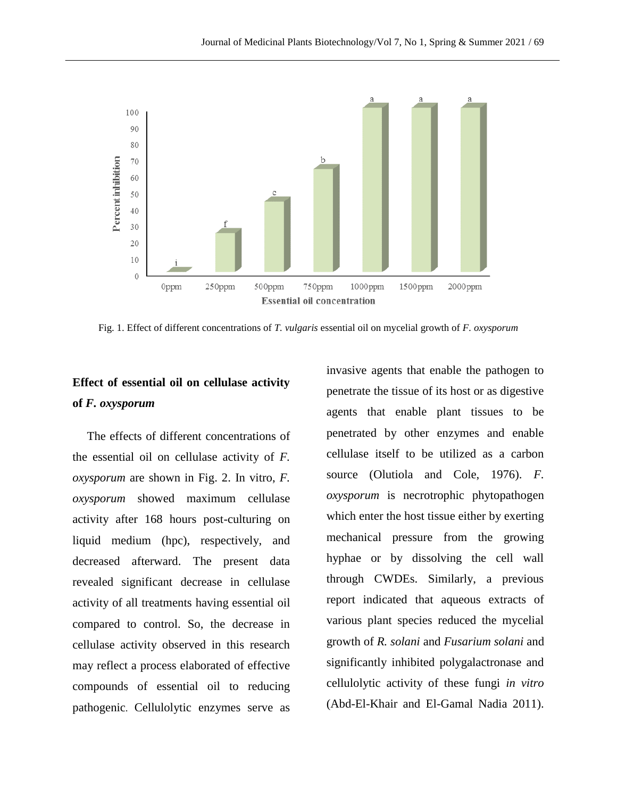

Fig. 1. Effect of different concentrations of *T. vulgaris* essential oil on mycelial growth of *F. oxysporum*

### **Effect of essential oil on cellulase activity of** *F. oxysporum*

The effects of different concentrations of the essential oil on cellulase activity of *F. oxysporum* are shown in Fig. 2. In vitro, *F. oxysporum* showed maximum cellulase activity after 168 hours post-culturing on liquid medium (hpc), respectively, and decreased afterward. The present data revealed significant decrease in cellulase activity of all treatments having essential oil compared to control. So, the decrease in cellulase activity observed in this research may reflect a process elaborated of effective compounds of essential oil to reducing pathogenic. Cellulolytic enzymes serve as

invasive agents that enable the pathogen to penetrate the tissue of its host or as digestive agents that enable plant tissues to be penetrated by other enzymes and enable cellulase itself to be utilized as a carbon source (Olutiola and Cole, 1976). *F. oxysporum* is necrotrophic phytopathogen which enter the host tissue either by exerting mechanical pressure from the growing hyphae or by dissolving the cell wall through CWDEs. Similarly, a previous report indicated that aqueous extracts of various plant species reduced the mycelial growth of *R. solani* and *Fusarium solani* and significantly inhibited polygalactronase and cellulolytic activity of these fungi *in vitro* (Abd-El-Khair and El-Gamal Nadia 2011).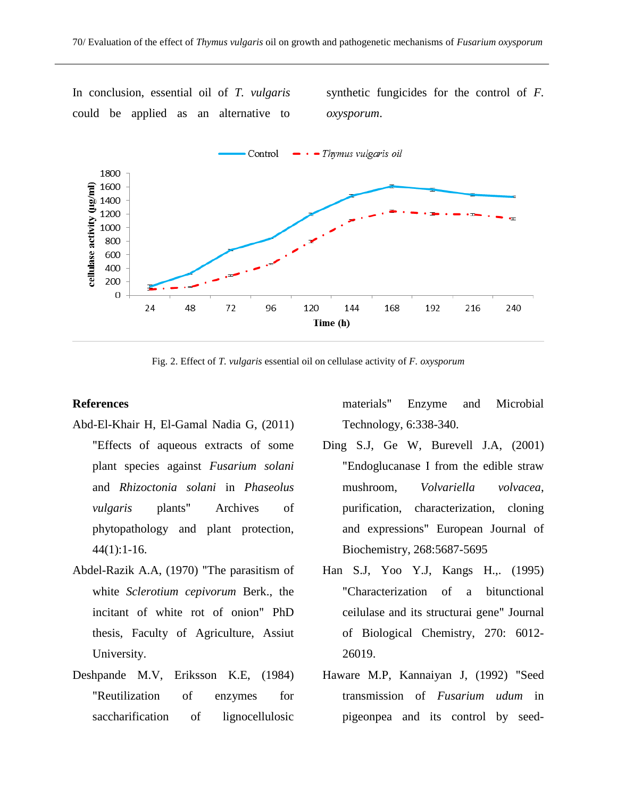In conclusion, essential oil of *T. vulgaris* could be applied as an alternative to synthetic fungicides for the control of *F. oxysporum*.



Fig. 2. Effect of *T. vulgaris* essential oil on cellulase activity of *F. oxysporum*

### **References**

- Abd-El-Khair H, El-Gamal Nadia G, (2011) "Effects of aqueous extracts of some plant species against *Fusarium solani* and *Rhizoctonia solani* in *Phaseolus vulgaris* plants" Archives of phytopathology and plant protection,  $44(1):1-16.$
- Abdel-Razik A.A, (1970) "The parasitism of white *Sclerotium cepivorum* Berk., the incitant of white rot of onion" PhD thesis, Faculty of Agriculture, Assiut University.
- Deshpande M.V, Eriksson K.E, (1984) "Reutilization of enzymes for saccharification of lignocellulosic

materials" Enzyme and Microbial Technology, 6:338-340.

- Ding S.J, Ge W, Burevell J.A, (2001) "Endoglucanase I from the edible straw mushroom, *Volvariella volvacea*, purification, characterization, cloning and expressions" European Journal of Biochemistry, 268:5687-5695
- Han S.J, Yoo Y.J, Kangs H.,. (1995) "Characterization of a bitunctional ceilulase and its structurai gene" Journal of Biological Chemistry, 270: 6012- 26019.
- Haware M.P, Kannaiyan J, (1992) "Seed transmission of *Fusarium udum* in pigeonpea and its control by seed-